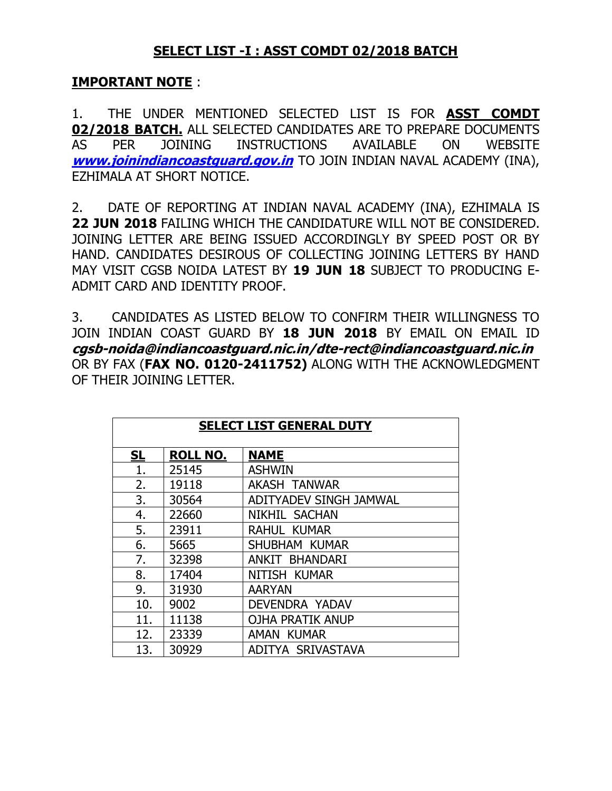## **SELECT LIST -I : ASST COMDT 02/2018 BATCH**

## **IMPORTANT NOTE** :

1. THE UNDER MENTIONED SELECTED LIST IS FOR **ASST COMDT 02/2018 BATCH.** ALL SELECTED CANDIDATES ARE TO PREPARE DOCUMENTS AS PER JOINING INSTRUCTIONS AVAILABLE ON WEBSITE **[www.joinindiancoastguard.gov.in](http://www.joinindiancoastguard.gov.in/)** TO JOIN INDIAN NAVAL ACADEMY (INA), EZHIMALA AT SHORT NOTICE.

2. DATE OF REPORTING AT INDIAN NAVAL ACADEMY (INA), EZHIMALA IS **22 JUN 2018** FAILING WHICH THE CANDIDATURE WILL NOT BE CONSIDERED. JOINING LETTER ARE BEING ISSUED ACCORDINGLY BY SPEED POST OR BY HAND. CANDIDATES DESIROUS OF COLLECTING JOINING LETTERS BY HAND MAY VISIT CGSB NOIDA LATEST BY **19 JUN 18** SUBJECT TO PRODUCING E-ADMIT CARD AND IDENTITY PROOF.

3. CANDIDATES AS LISTED BELOW TO CONFIRM THEIR WILLINGNESS TO JOIN INDIAN COAST GUARD BY **18 JUN 2018** BY EMAIL ON EMAIL ID **cgsb-noida@indiancoastguard.nic.in/dte-rect@indiancoastguard.nic.in** OR BY FAX (**FAX NO. 0120-2411752)** ALONG WITH THE ACKNOWLEDGMENT OF THEIR JOINING LETTER.

| <b>SELECT LIST GENERAL DUTY</b> |                 |                         |  |  |  |
|---------------------------------|-----------------|-------------------------|--|--|--|
| <u>SL</u>                       | <b>ROLL NO.</b> | <b>NAME</b>             |  |  |  |
| 1.                              | 25145           | <b>ASHWIN</b>           |  |  |  |
| 2.                              | 19118           | <b>AKASH TANWAR</b>     |  |  |  |
| 3.                              | 30564           | ADITYADEV SINGH JAMWAL  |  |  |  |
| 4.                              | 22660           | NIKHIL SACHAN           |  |  |  |
| 5.                              | 23911           | <b>RAHUL KUMAR</b>      |  |  |  |
| 6.                              | 5665            | SHUBHAM KUMAR           |  |  |  |
| 7.                              | 32398           | ANKIT BHANDARI          |  |  |  |
| 8.                              | 17404           | NITISH KUMAR            |  |  |  |
| 9.                              | 31930           | <b>AARYAN</b>           |  |  |  |
| 10.                             | 9002            | DEVENDRA YADAV          |  |  |  |
| 11.                             | 11138           | <b>OJHA PRATIK ANUP</b> |  |  |  |
| 12.                             | 23339           | <b>KUMAR</b><br>AMAN    |  |  |  |
| 13.                             | 30929           | ADITYA SRIVASTAVA       |  |  |  |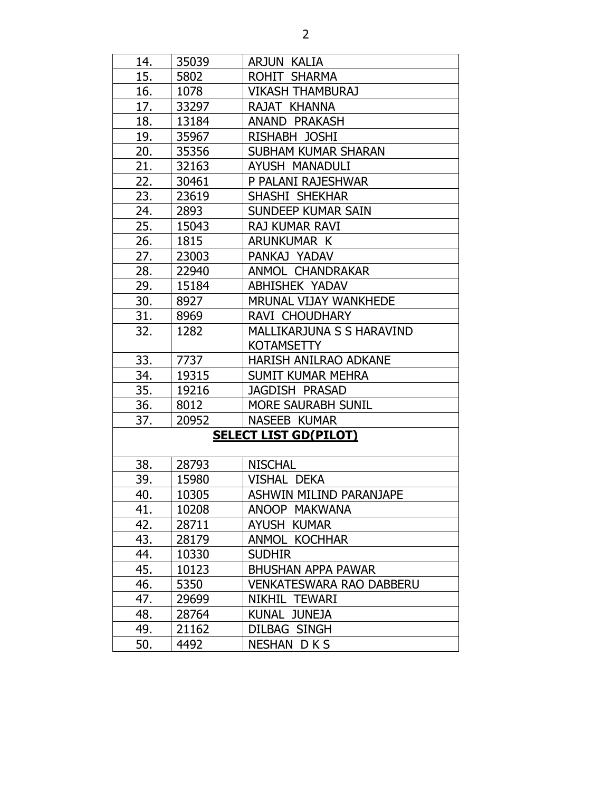| 14. | 35039 | ARJUN KALIA                     |  |
|-----|-------|---------------------------------|--|
| 15. | 5802  | ROHIT SHARMA                    |  |
| 16. | 1078  | <b>VIKASH THAMBURAJ</b>         |  |
| 17. | 33297 | RAJAT KHANNA                    |  |
| 18. | 13184 | <b>ANAND PRAKASH</b>            |  |
| 19. | 35967 | RISHABH JOSHI                   |  |
| 20. | 35356 | <b>SUBHAM KUMAR SHARAN</b>      |  |
| 21. | 32163 | AYUSH MANADULI                  |  |
| 22. | 30461 | P PALANI RAJESHWAR              |  |
| 23. | 23619 | SHASHI SHEKHAR                  |  |
| 24. | 2893  | SUNDEEP KUMAR SAIN              |  |
| 25. | 15043 | RAJ KUMAR RAVI                  |  |
| 26. | 1815  | ARUNKUMAR K                     |  |
| 27. | 23003 | PANKAJ YADAV                    |  |
| 28. | 22940 | ANMOL CHANDRAKAR                |  |
| 29. | 15184 | <b>ABHISHEK YADAV</b>           |  |
| 30. | 8927  | MRUNAL VIJAY WANKHEDE           |  |
| 31. | 8969  | RAVI CHOUDHARY                  |  |
| 32. | 1282  | MALLIKARJUNA S S HARAVIND       |  |
|     |       | <b>KOTAMSETTY</b>               |  |
| 33. | 7737  | HARISH ANILRAO ADKANE           |  |
| 34. | 19315 | <b>SUMIT KUMAR MEHRA</b>        |  |
| 35. | 19216 | JAGDISH PRASAD                  |  |
| 36. | 8012  | MORE SAURABH SUNIL              |  |
| 37. | 20952 | NASEEB KUMAR                    |  |
|     |       | <b>SELECT LIST GD(PILOT)</b>    |  |
|     |       |                                 |  |
| 38. | 28793 | <b>NISCHAL</b>                  |  |
| 39. | 15980 | VISHAL DEKA                     |  |
| 40. | 10305 | <b>ASHWIN MILIND PARANJAPE</b>  |  |
| 41. | 10208 | ANOOP MAKWANA                   |  |
| 42. | 28711 | AYUSH KUMAR                     |  |
| 43. | 28179 | <b>ANMOL KOCHHAR</b>            |  |
| 44. | 10330 | <b>SUDHIR</b>                   |  |
| 45. | 10123 | <b>BHUSHAN APPA PAWAR</b>       |  |
| 46. | 5350  | <b>VENKATESWARA RAO DABBERU</b> |  |
| 47. | 29699 | NIKHIL TEWARI                   |  |
| 48. | 28764 | <b>JUNEJA</b><br>KUNAL          |  |
| 49. | 21162 | <b>DILBAG SINGH</b>             |  |
| 50. | 4492  | <b>NESHAN DKS</b>               |  |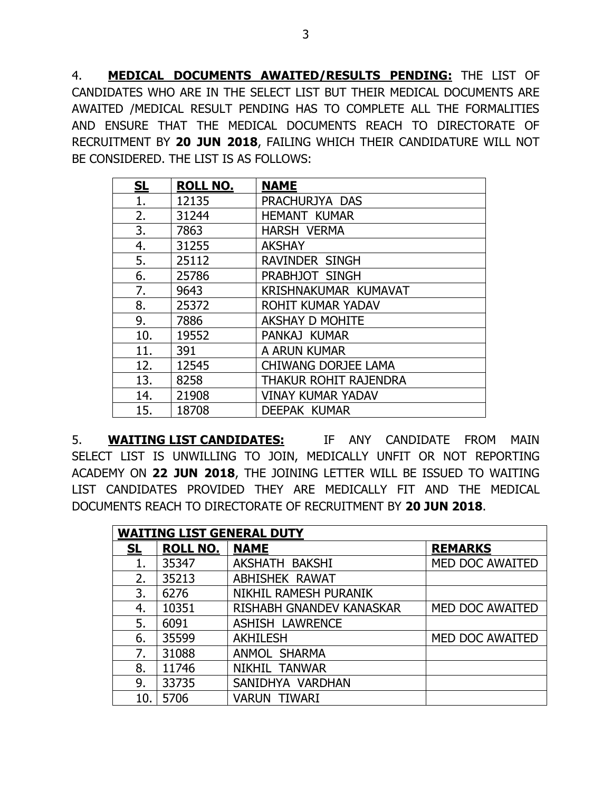4. **MEDICAL DOCUMENTS AWAITED/RESULTS PENDING:** THE LIST OF CANDIDATES WHO ARE IN THE SELECT LIST BUT THEIR MEDICAL DOCUMENTS ARE AWAITED /MEDICAL RESULT PENDING HAS TO COMPLETE ALL THE FORMALITIES AND ENSURE THAT THE MEDICAL DOCUMENTS REACH TO DIRECTORATE OF RECRUITMENT BY **20 JUN 2018**, FAILING WHICH THEIR CANDIDATURE WILL NOT BE CONSIDERED. THE LIST IS AS FOLLOWS:

| <u>SL</u> | <b>ROLL NO.</b> | <b>NAME</b>                |
|-----------|-----------------|----------------------------|
| 1.        | 12135           | PRACHURJYA DAS             |
| 2.        | 31244           | <b>HEMANT KUMAR</b>        |
| 3.        | 7863            | <b>HARSH VERMA</b>         |
| 4.        | 31255           | <b>AKSHAY</b>              |
| 5.        | 25112           | <b>RAVINDER SINGH</b>      |
| 6.        | 25786           | PRABHJOT SINGH             |
| 7.        | 9643            | KRISHNAKUMAR KUMAVAT       |
| 8.        | 25372           | ROHIT KUMAR YADAV          |
| 9.        | 7886            | <b>AKSHAY D MOHITE</b>     |
| 10.       | 19552           | PANKAJ KUMAR               |
| 11.       | 391             | A ARUN KUMAR               |
| 12.       | 12545           | <b>CHIWANG DORJEE LAMA</b> |
| 13.       | 8258            | THAKUR ROHIT RAJENDRA      |
| 14.       | 21908           | <b>VINAY KUMAR YADAV</b>   |
| 15.       | 18708           | <b>DEEPAK KUMAR</b>        |

5. **WAITING LIST CANDIDATES:** IF ANY CANDIDATE FROM MAIN SELECT LIST IS UNWILLING TO JOIN, MEDICALLY UNFIT OR NOT REPORTING ACADEMY ON **22 JUN 2018**, THE JOINING LETTER WILL BE ISSUED TO WAITING LIST CANDIDATES PROVIDED THEY ARE MEDICALLY FIT AND THE MEDICAL DOCUMENTS REACH TO DIRECTORATE OF RECRUITMENT BY **20 JUN 2018**.

| <b>WAITING LIST GENERAL DUTY</b> |                 |                          |                 |  |
|----------------------------------|-----------------|--------------------------|-----------------|--|
| <u>SL</u>                        | <b>ROLL NO.</b> | <b>NAME</b>              | <b>REMARKS</b>  |  |
| 1.                               | 35347           | AKSHATH BAKSHI           | MED DOC AWAITED |  |
| 2.                               | 35213           | ABHISHEK RAWAT           |                 |  |
| 3.                               | 6276            | NIKHIL RAMESH PURANIK    |                 |  |
| 4.                               | 10351           | RISHABH GNANDEV KANASKAR | MED DOC AWAITED |  |
| 5.                               | 6091            | <b>ASHISH LAWRENCE</b>   |                 |  |
| 6.                               | 35599           | <b>AKHILESH</b>          | MED DOC AWAITED |  |
| 7.                               | 31088           | ANMOL SHARMA             |                 |  |
| 8.                               | 11746           | NIKHIL TANWAR            |                 |  |
| 9.                               | 33735           | SANIDHYA VARDHAN         |                 |  |
| 10.                              | 5706            | <b>VARUN TIWARI</b>      |                 |  |